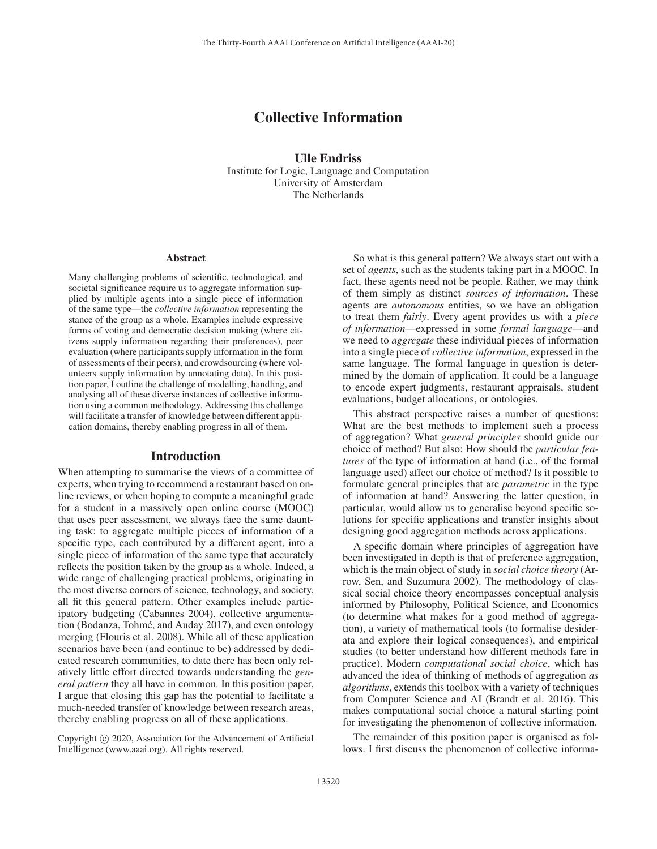# Collective Information

Ulle Endriss Institute for Logic, Language and Computation University of Amsterdam The Netherlands

#### **Abstract**

Many challenging problems of scientific, technological, and societal significance require us to aggregate information supplied by multiple agents into a single piece of information of the same type—the *collective information* representing the stance of the group as a whole. Examples include expressive forms of voting and democratic decision making (where citizens supply information regarding their preferences), peer evaluation (where participants supply information in the form of assessments of their peers), and crowdsourcing (where volunteers supply information by annotating data). In this position paper, I outline the challenge of modelling, handling, and analysing all of these diverse instances of collective information using a common methodology. Addressing this challenge will facilitate a transfer of knowledge between different application domains, thereby enabling progress in all of them.

#### Introduction

When attempting to summarise the views of a committee of experts, when trying to recommend a restaurant based on online reviews, or when hoping to compute a meaningful grade for a student in a massively open online course (MOOC) that uses peer assessment, we always face the same daunting task: to aggregate multiple pieces of information of a specific type, each contributed by a different agent, into a single piece of information of the same type that accurately reflects the position taken by the group as a whole. Indeed, a wide range of challenging practical problems, originating in the most diverse corners of science, technology, and society, all fit this general pattern. Other examples include participatory budgeting (Cabannes 2004), collective argumentation (Bodanza, Tohmé, and Auday 2017), and even ontology merging (Flouris et al. 2008). While all of these application scenarios have been (and continue to be) addressed by dedicated research communities, to date there has been only relatively little effort directed towards understanding the *general pattern* they all have in common. In this position paper, I argue that closing this gap has the potential to facilitate a much-needed transfer of knowledge between research areas, thereby enabling progress on all of these applications.

So what is this general pattern? We always start out with a set of *agents*, such as the students taking part in a MOOC. In fact, these agents need not be people. Rather, we may think of them simply as distinct *sources of information*. These agents are *autonomous* entities, so we have an obligation to treat them *fairly*. Every agent provides us with a *piece of information*—expressed in some *formal language*—and we need to *aggregate* these individual pieces of information into a single piece of *collective information*, expressed in the same language. The formal language in question is determined by the domain of application. It could be a language to encode expert judgments, restaurant appraisals, student evaluations, budget allocations, or ontologies.

This abstract perspective raises a number of questions: What are the best methods to implement such a process of aggregation? What *general principles* should guide our choice of method? But also: How should the *particular features* of the type of information at hand (i.e., of the formal language used) affect our choice of method? Is it possible to formulate general principles that are *parametric* in the type of information at hand? Answering the latter question, in particular, would allow us to generalise beyond specific solutions for specific applications and transfer insights about designing good aggregation methods across applications.

A specific domain where principles of aggregation have been investigated in depth is that of preference aggregation, which is the main object of study in *social choice theory* (Arrow, Sen, and Suzumura 2002). The methodology of classical social choice theory encompasses conceptual analysis informed by Philosophy, Political Science, and Economics (to determine what makes for a good method of aggregation), a variety of mathematical tools (to formalise desiderata and explore their logical consequences), and empirical studies (to better understand how different methods fare in practice). Modern *computational social choice*, which has advanced the idea of thinking of methods of aggregation *as algorithms*, extends this toolbox with a variety of techniques from Computer Science and AI (Brandt et al. 2016). This makes computational social choice a natural starting point for investigating the phenomenon of collective information.

The remainder of this position paper is organised as follows. I first discuss the phenomenon of collective informa-

Copyright  $\odot$  2020, Association for the Advancement of Artificial Intelligence (www.aaai.org). All rights reserved.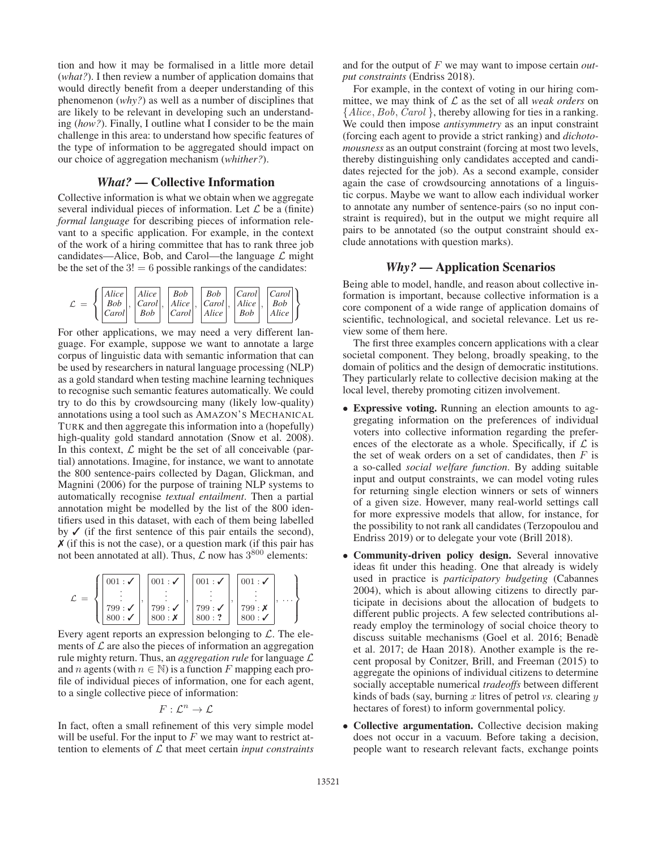tion and how it may be formalised in a little more detail (*what?*). I then review a number of application domains that would directly benefit from a deeper understanding of this phenomenon (*why?*) as well as a number of disciplines that are likely to be relevant in developing such an understanding (*how?*). Finally, I outline what I consider to be the main challenge in this area: to understand how specific features of the type of information to be aggregated should impact on our choice of aggregation mechanism (*whither?*).

# *What?* — Collective Information

Collective information is what we obtain when we aggregate several individual pieces of information. Let  $\mathcal L$  be a (finite) *formal language* for describing pieces of information relevant to a specific application. For example, in the context of the work of a hiring committee that has to rank three job candidates—Alice, Bob, and Carol—the language  $\mathcal L$  might be the set of the  $3! = 6$  possible rankings of the candidates:



For other applications, we may need a very different language. For example, suppose we want to annotate a large corpus of linguistic data with semantic information that can be used by researchers in natural language processing (NLP) as a gold standard when testing machine learning techniques to recognise such semantic features automatically. We could try to do this by crowdsourcing many (likely low-quality) annotations using a tool such as AMAZON'S MECHANICAL TURK and then aggregate this information into a (hopefully) high-quality gold standard annotation (Snow et al. 2008). In this context,  $\mathcal L$  might be the set of all conceivable (partial) annotations. Imagine, for instance, we want to annotate the 800 sentence-pairs collected by Dagan, Glickman, and Magnini (2006) for the purpose of training NLP systems to automatically recognise *textual entailment*. Then a partial annotation might be modelled by the list of the 800 identifiers used in this dataset, with each of them being labelled by  $\checkmark$  (if the first sentence of this pair entails the second),  $\chi$  (if this is not the case), or a question mark (if this pair has not been annotated at all). Thus,  $\mathcal L$  now has  $3^{800}$  elements:

| 001:         | 001:           | 001:             | 001:                          |  |
|--------------|----------------|------------------|-------------------------------|--|
| 799:<br>800: | 799:<br>800: X | 799:<br>$800:$ ? | 799: X<br>$800:$ $\checkmark$ |  |

Every agent reports an expression belonging to  $\mathcal{L}$ . The elements of  $\mathcal L$  are also the pieces of information an aggregation rule mighty return. Thus, an *aggregation rule* for language L and n agents (with  $n \in \mathbb{N}$ ) is a function F mapping each profile of individual pieces of information, one for each agent, to a single collective piece of information:

$$
F:\mathcal{L}^n\to\mathcal{L}
$$

In fact, often a small refinement of this very simple model will be useful. For the input to  $F$  we may want to restrict attention to elements of L that meet certain *input constraints*

and for the output of F we may want to impose certain *output constraints* (Endriss 2018).

For example, in the context of voting in our hiring committee, we may think of  $\mathcal L$  as the set of all *weak orders* on {*Alice*, *Bob*, *Carol* }, thereby allowing for ties in a ranking. We could then impose *antisymmetry* as an input constraint (forcing each agent to provide a strict ranking) and *dichotomousness* as an output constraint (forcing at most two levels, thereby distinguishing only candidates accepted and candidates rejected for the job). As a second example, consider again the case of crowdsourcing annotations of a linguistic corpus. Maybe we want to allow each individual worker to annotate any number of sentence-pairs (so no input constraint is required), but in the output we might require all pairs to be annotated (so the output constraint should exclude annotations with question marks).

# *Why?* — Application Scenarios

Being able to model, handle, and reason about collective information is important, because collective information is a core component of a wide range of application domains of scientific, technological, and societal relevance. Let us review some of them here.

The first three examples concern applications with a clear societal component. They belong, broadly speaking, to the domain of politics and the design of democratic institutions. They particularly relate to collective decision making at the local level, thereby promoting citizen involvement.

- Expressive voting. Running an election amounts to aggregating information on the preferences of individual voters into collective information regarding the preferences of the electorate as a whole. Specifically, if  $\mathcal L$  is the set of weak orders on a set of candidates, then  $F$  is a so-called *social welfare function*. By adding suitable input and output constraints, we can model voting rules for returning single election winners or sets of winners of a given size. However, many real-world settings call for more expressive models that allow, for instance, for the possibility to not rank all candidates (Terzopoulou and Endriss 2019) or to delegate your vote (Brill 2018).
- Community-driven policy design. Several innovative ideas fit under this heading. One that already is widely used in practice is *participatory budgeting* (Cabannes 2004), which is about allowing citizens to directly participate in decisions about the allocation of budgets to different public projects. A few selected contributions already employ the terminology of social choice theory to discuss suitable mechanisms (Goel et al. 2016; Benade` et al. 2017; de Haan 2018). Another example is the recent proposal by Conitzer, Brill, and Freeman (2015) to aggregate the opinions of individual citizens to determine socially acceptable numerical *tradeoffs* between different kinds of bads (say, burning  $x$  litres of petrol  $vs.$  clearing  $y$ hectares of forest) to inform governmental policy.
- Collective argumentation. Collective decision making does not occur in a vacuum. Before taking a decision, people want to research relevant facts, exchange points

⎫  $\overline{\mathcal{L}}$ 

 $\int$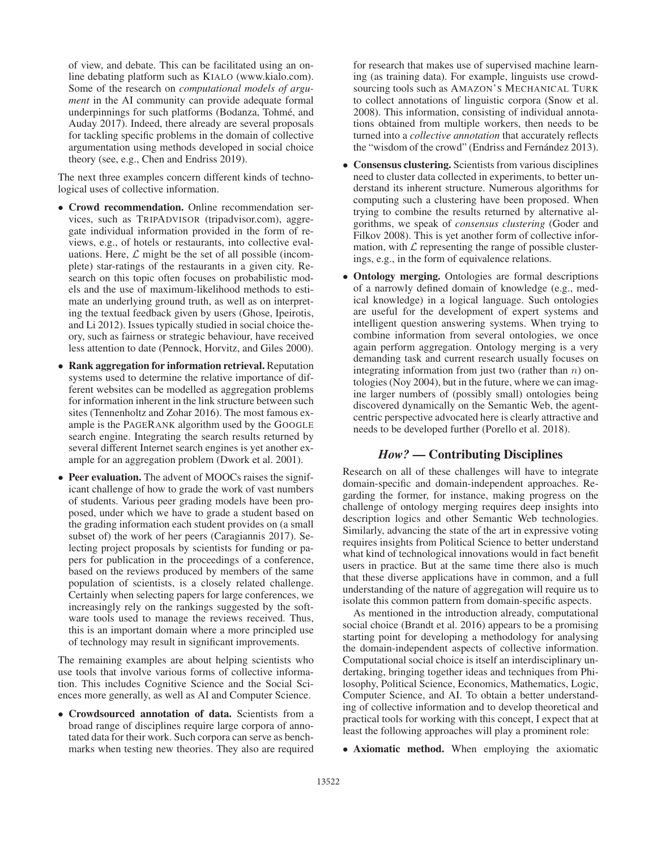of view, and debate. This can be facilitated using an online debating platform such as KIALO (www.kialo.com). Some of the research on *computational models of argument* in the AI community can provide adequate formal underpinnings for such platforms (Bodanza, Tohme, and ´ Auday 2017). Indeed, there already are several proposals for tackling specific problems in the domain of collective argumentation using methods developed in social choice theory (see, e.g., Chen and Endriss 2019).

The next three examples concern different kinds of technological uses of collective information.

- Crowd recommendation. Online recommendation services, such as TRIPADVISOR (tripadvisor.com), aggregate individual information provided in the form of reviews, e.g., of hotels or restaurants, into collective evaluations. Here,  $\mathcal L$  might be the set of all possible (incomplete) star-ratings of the restaurants in a given city. Research on this topic often focuses on probabilistic models and the use of maximum-likelihood methods to estimate an underlying ground truth, as well as on interpreting the textual feedback given by users (Ghose, Ipeirotis, and Li 2012). Issues typically studied in social choice theory, such as fairness or strategic behaviour, have received less attention to date (Pennock, Horvitz, and Giles 2000).
- Rank aggregation for information retrieval. Reputation systems used to determine the relative importance of different websites can be modelled as aggregation problems for information inherent in the link structure between such sites (Tennenholtz and Zohar 2016). The most famous example is the PAGERANK algorithm used by the GOOGLE search engine. Integrating the search results returned by several different Internet search engines is yet another example for an aggregation problem (Dwork et al. 2001).
- Peer evaluation. The advent of MOOCs raises the significant challenge of how to grade the work of vast numbers of students. Various peer grading models have been proposed, under which we have to grade a student based on the grading information each student provides on (a small subset of) the work of her peers (Caragiannis 2017). Selecting project proposals by scientists for funding or papers for publication in the proceedings of a conference, based on the reviews produced by members of the same population of scientists, is a closely related challenge. Certainly when selecting papers for large conferences, we increasingly rely on the rankings suggested by the software tools used to manage the reviews received. Thus, this is an important domain where a more principled use of technology may result in significant improvements.

The remaining examples are about helping scientists who use tools that involve various forms of collective information. This includes Cognitive Science and the Social Sciences more generally, as well as AI and Computer Science.

• Crowdsourced annotation of data. Scientists from a broad range of disciplines require large corpora of annotated data for their work. Such corpora can serve as benchmarks when testing new theories. They also are required for research that makes use of supervised machine learning (as training data). For example, linguists use crowdsourcing tools such as AMAZON'S MECHANICAL TURK to collect annotations of linguistic corpora (Snow et al. 2008). This information, consisting of individual annotations obtained from multiple workers, then needs to be turned into a *collective annotation* that accurately reflects the "wisdom of the crowd" (Endriss and Fernández 2013).

- Consensus clustering. Scientists from various disciplines need to cluster data collected in experiments, to better understand its inherent structure. Numerous algorithms for computing such a clustering have been proposed. When trying to combine the results returned by alternative algorithms, we speak of *consensus clustering* (Goder and Filkov 2008). This is yet another form of collective information, with  $\mathcal L$  representing the range of possible clusterings, e.g., in the form of equivalence relations.
- Ontology merging. Ontologies are formal descriptions of a narrowly defined domain of knowledge (e.g., medical knowledge) in a logical language. Such ontologies are useful for the development of expert systems and intelligent question answering systems. When trying to combine information from several ontologies, we once again perform aggregation. Ontology merging is a very demanding task and current research usually focuses on integrating information from just two (rather than  $n$ ) ontologies (Noy 2004), but in the future, where we can imagine larger numbers of (possibly small) ontologies being discovered dynamically on the Semantic Web, the agentcentric perspective advocated here is clearly attractive and needs to be developed further (Porello et al. 2018).

### *How?* — Contributing Disciplines

Research on all of these challenges will have to integrate domain-specific and domain-independent approaches. Regarding the former, for instance, making progress on the challenge of ontology merging requires deep insights into description logics and other Semantic Web technologies. Similarly, advancing the state of the art in expressive voting requires insights from Political Science to better understand what kind of technological innovations would in fact benefit users in practice. But at the same time there also is much that these diverse applications have in common, and a full understanding of the nature of aggregation will require us to isolate this common pattern from domain-specific aspects.

As mentioned in the introduction already, computational social choice (Brandt et al. 2016) appears to be a promising starting point for developing a methodology for analysing the domain-independent aspects of collective information. Computational social choice is itself an interdisciplinary undertaking, bringing together ideas and techniques from Philosophy, Political Science, Economics, Mathematics, Logic, Computer Science, and AI. To obtain a better understanding of collective information and to develop theoretical and practical tools for working with this concept, I expect that at least the following approaches will play a prominent role:

• Axiomatic method. When employing the axiomatic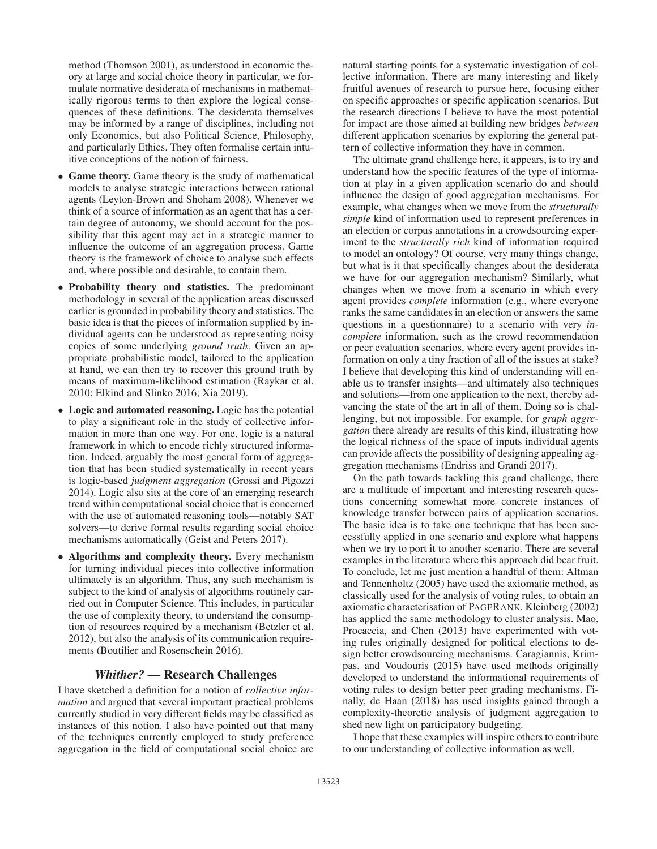method (Thomson 2001), as understood in economic theory at large and social choice theory in particular, we formulate normative desiderata of mechanisms in mathematically rigorous terms to then explore the logical consequences of these definitions. The desiderata themselves may be informed by a range of disciplines, including not only Economics, but also Political Science, Philosophy, and particularly Ethics. They often formalise certain intuitive conceptions of the notion of fairness.

- Game theory. Game theory is the study of mathematical models to analyse strategic interactions between rational agents (Leyton-Brown and Shoham 2008). Whenever we think of a source of information as an agent that has a certain degree of autonomy, we should account for the possibility that this agent may act in a strategic manner to influence the outcome of an aggregation process. Game theory is the framework of choice to analyse such effects and, where possible and desirable, to contain them.
- Probability theory and statistics. The predominant methodology in several of the application areas discussed earlier is grounded in probability theory and statistics. The basic idea is that the pieces of information supplied by individual agents can be understood as representing noisy copies of some underlying *ground truth*. Given an appropriate probabilistic model, tailored to the application at hand, we can then try to recover this ground truth by means of maximum-likelihood estimation (Raykar et al. 2010; Elkind and Slinko 2016; Xia 2019).
- Logic and automated reasoning. Logic has the potential to play a significant role in the study of collective information in more than one way. For one, logic is a natural framework in which to encode richly structured information. Indeed, arguably the most general form of aggregation that has been studied systematically in recent years is logic-based *judgment aggregation* (Grossi and Pigozzi 2014). Logic also sits at the core of an emerging research trend within computational social choice that is concerned with the use of automated reasoning tools—notably SAT solvers—to derive formal results regarding social choice mechanisms automatically (Geist and Peters 2017).
- Algorithms and complexity theory. Every mechanism for turning individual pieces into collective information ultimately is an algorithm. Thus, any such mechanism is subject to the kind of analysis of algorithms routinely carried out in Computer Science. This includes, in particular the use of complexity theory, to understand the consumption of resources required by a mechanism (Betzler et al. 2012), but also the analysis of its communication requirements (Boutilier and Rosenschein 2016).

# *Whither?* — Research Challenges

I have sketched a definition for a notion of *collective information* and argued that several important practical problems currently studied in very different fields may be classified as instances of this notion. I also have pointed out that many of the techniques currently employed to study preference aggregation in the field of computational social choice are

natural starting points for a systematic investigation of collective information. There are many interesting and likely fruitful avenues of research to pursue here, focusing either on specific approaches or specific application scenarios. But the research directions I believe to have the most potential for impact are those aimed at building new bridges *between* different application scenarios by exploring the general pattern of collective information they have in common.

The ultimate grand challenge here, it appears, is to try and understand how the specific features of the type of information at play in a given application scenario do and should influence the design of good aggregation mechanisms. For example, what changes when we move from the *structurally simple* kind of information used to represent preferences in an election or corpus annotations in a crowdsourcing experiment to the *structurally rich* kind of information required to model an ontology? Of course, very many things change, but what is it that specifically changes about the desiderata we have for our aggregation mechanism? Similarly, what changes when we move from a scenario in which every agent provides *complete* information (e.g., where everyone ranks the same candidates in an election or answers the same questions in a questionnaire) to a scenario with very *incomplete* information, such as the crowd recommendation or peer evaluation scenarios, where every agent provides information on only a tiny fraction of all of the issues at stake? I believe that developing this kind of understanding will enable us to transfer insights—and ultimately also techniques and solutions—from one application to the next, thereby advancing the state of the art in all of them. Doing so is challenging, but not impossible. For example, for *graph aggregation* there already are results of this kind, illustrating how the logical richness of the space of inputs individual agents can provide affects the possibility of designing appealing aggregation mechanisms (Endriss and Grandi 2017).

On the path towards tackling this grand challenge, there are a multitude of important and interesting research questions concerning somewhat more concrete instances of knowledge transfer between pairs of application scenarios. The basic idea is to take one technique that has been successfully applied in one scenario and explore what happens when we try to port it to another scenario. There are several examples in the literature where this approach did bear fruit. To conclude, let me just mention a handful of them: Altman and Tennenholtz (2005) have used the axiomatic method, as classically used for the analysis of voting rules, to obtain an axiomatic characterisation of PAGERANK. Kleinberg (2002) has applied the same methodology to cluster analysis. Mao, Procaccia, and Chen (2013) have experimented with voting rules originally designed for political elections to design better crowdsourcing mechanisms. Caragiannis, Krimpas, and Voudouris (2015) have used methods originally developed to understand the informational requirements of voting rules to design better peer grading mechanisms. Finally, de Haan (2018) has used insights gained through a complexity-theoretic analysis of judgment aggregation to shed new light on participatory budgeting.

I hope that these examples will inspire others to contribute to our understanding of collective information as well.